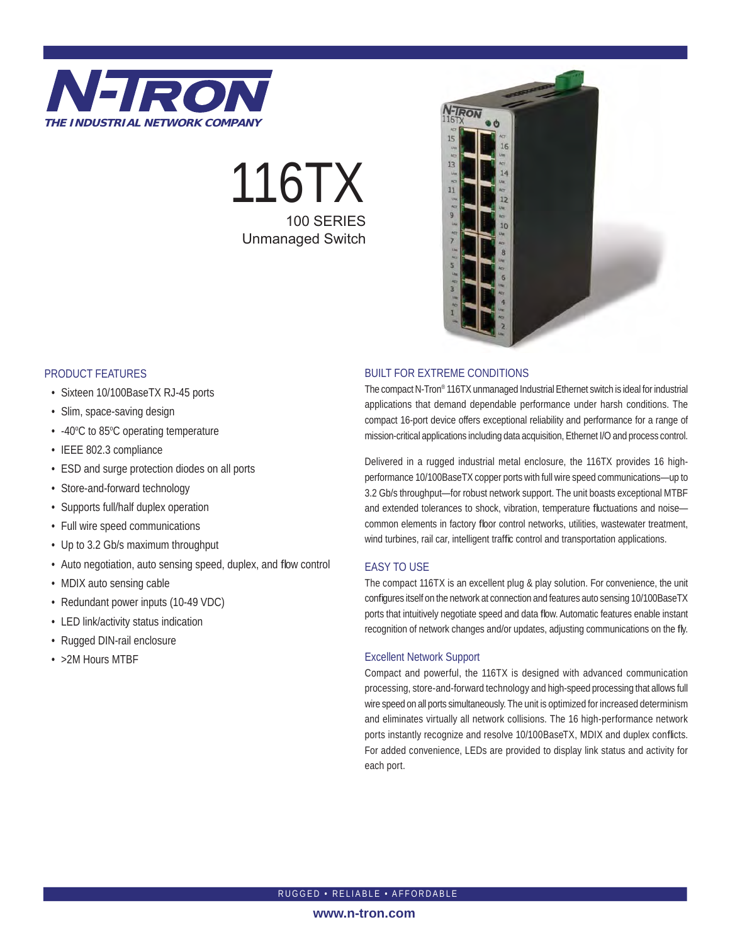

# 116TX 100 SERIES Unmanaged Switch



#### PRODUCT FEATURES

- Sixteen 10/100BaseTX RJ-45 ports
- Slim, space-saving design
- -40°C to 85°C operating temperature
- IEEE 802.3 compliance
- ESD and surge protection diodes on all ports
- Store-and-forward technology
- Supports full/half duplex operation
- Full wire speed communications
- Up to 3.2 Gb/s maximum throughput
- Auto negotiation, auto sensing speed, duplex, and flow control
- MDIX auto sensing cable
- Redundant power inputs (10-49 VDC)
- LED link/activity status indication
- Rugged DIN-rail enclosure
- >2M Hours MTBF

#### BUILT FOR EXTREME CONDITIONS

The compact N-Tron® 116TX unmanaged Industrial Ethernet switch is ideal for industrial applications that demand dependable performance under harsh conditions. The compact 16-port device offers exceptional reliability and performance for a range of mission-critical applications including data acquisition, Ethernet I/O and process control.

Delivered in a rugged industrial metal enclosure, the 116TX provides 16 highperformance 10/100BaseTX copper ports with full wire speed communications—up to 3.2 Gb/s throughput—for robust network support. The unit boasts exceptional MTBF and extended tolerances to shock, vibration, temperature fluctuations and noisecommon elements in factory floor control networks, utilities, wastewater treatment, wind turbines, rail car, intelligent traffic control and transportation applications.

#### EASY TO USE

The compact 116TX is an excellent plug & play solution. For convenience, the unit configures itself on the network at connection and features auto sensing 10/100BaseTX ports that intuitively negotiate speed and data flow. Automatic features enable instant recognition of network changes and/or updates, adjusting communications on the fly.

#### Excellent Network Support

Compact and powerful, the 116TX is designed with advanced communication processing, store-and-forward technology and high-speed processing that allows full wire speed on all ports simultaneously. The unit is optimized for increased determinism and eliminates virtually all network collisions. The 16 high-performance network ports instantly recognize and resolve 10/100BaseTX, MDIX and duplex conflicts. For added convenience, LEDs are provided to display link status and activity for each port.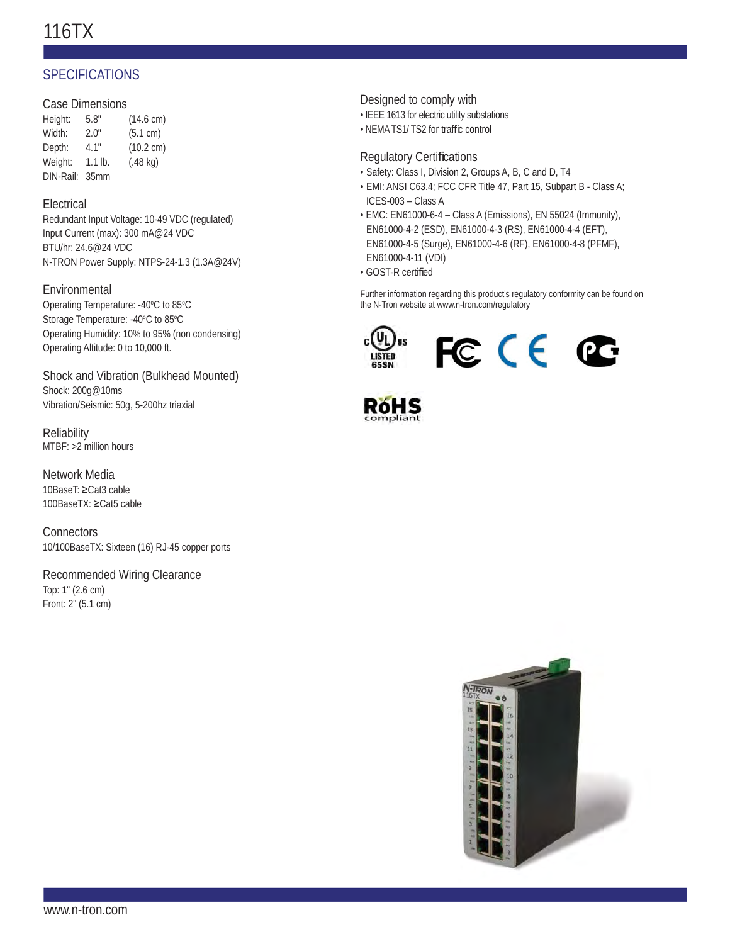## 116TX

## **SPECIFICATIONS**

#### Case Dimensions

| Height:   | 5.8"             | $(14.6 \text{ cm})$ |
|-----------|------------------|---------------------|
| Width:    | 2.0"             | (5.1 cm)            |
| Depth:    | 4.1"             | $(10.2 \text{ cm})$ |
| Weight:   | $1.1$ lb.        | $(.48$ kg)          |
| DIN-Rail: | 35 <sub>mm</sub> |                     |

#### **Electrical**

Redundant Input Voltage: 10-49 VDC (regulated) Input Current (max): 300 mA@24 VDC BTU/hr: 24.6@24 VDC N-TRON Power Supply: NTPS-24-1.3 (1.3A@24V)

#### Environmental

Operating Temperature: -40°C to 85°C Storage Temperature: -40°C to 85°C Operating Humidity: 10% to 95% (non condensing) Operating Altitude: 0 to 10,000 ft.

Shock and Vibration (Bulkhead Mounted) Shock: 200g@10ms Vibration/Seismic: 50g, 5-200hz triaxial

**Reliability** MTBF: >2 million hours

Network Media 10BaseT: ≥Cat3 cable 100BaseTX: ≥Cat5 cable

**Connectors** 10/100BaseTX: Sixteen (16) RJ-45 copper ports

Recommended Wiring Clearance Top: 1" (2.6 cm) Front: 2" (5.1 cm)

#### Designed to comply with

- IEEE 1613 for electric utility substations
- NEMA TS1/ TS2 for traffic control

#### **Regulatory Certifications**

- Safety: Class I, Division 2, Groups A, B, C and D, T4
- EMI: ANSI C63.4; FCC CFR Title 47, Part 15, Subpart B Class A; ICES-003 – Class A
- EMC: EN61000-6-4 Class A (Emissions), EN 55024 (Immunity), EN61000-4-2 (ESD), EN61000-4-3 (RS), EN61000-4-4 (EFT), EN61000-4-5 (Surge), EN61000-4-6 (RF), EN61000-4-8 (PFMF), EN61000-4-11 (VDI)
- GOST-R certified

Further information regarding this product's regulatory conformity can be found on the N-Tron website at www.n-tron.com/regulatory





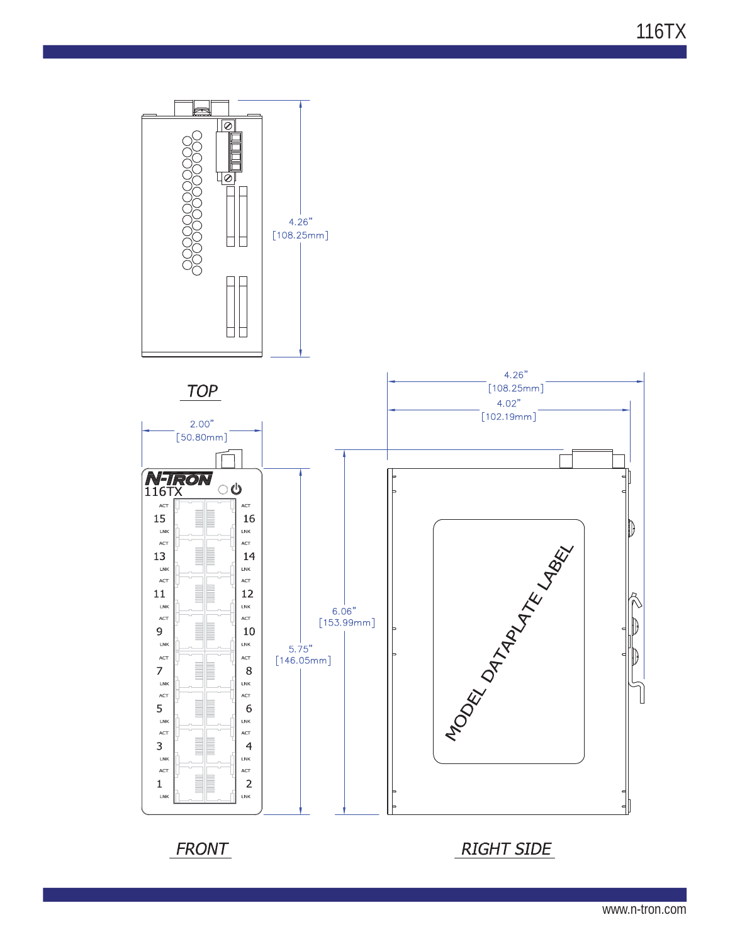116TX



www.n-tron.com